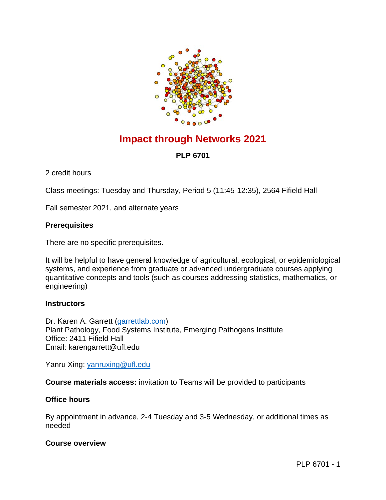

# **Impact through Networks 2021**

## **PLP 6701**

2 credit hours

Class meetings: Tuesday and Thursday, Period 5 (11:45-12:35), 2564 Fifield Hall

Fall semester 2021, and alternate years

## **Prerequisites**

There are no specific prerequisites.

It will be helpful to have general knowledge of agricultural, ecological, or epidemiological systems, and experience from graduate or advanced undergraduate courses applying quantitative concepts and tools (such as courses addressing statistics, mathematics, or engineering)

## **Instructors**

Dr. Karen A. Garrett [\(garrettlab.com\)](http://www.garrettlab.com/) Plant Pathology, Food Systems Institute, Emerging Pathogens Institute Office: 2411 Fifield Hall Email: [karengarrett@ufl.edu](mailto:karengarrett@ufl.edu)

Yanru Xing: [yanruxing@ufl.edu](mailto:yanruxing@ufl.edu)

**Course materials access:** invitation to Teams will be provided to participants

## **Office hours**

By appointment in advance, 2-4 Tuesday and 3-5 Wednesday, or additional times as needed

## **Course overview**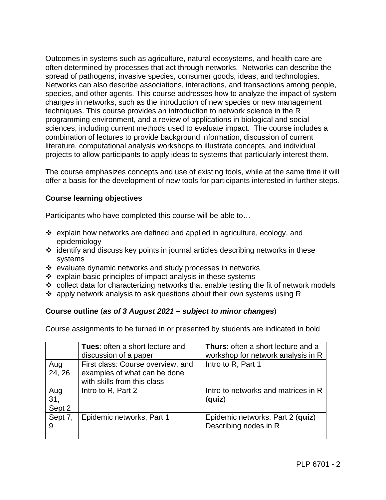Outcomes in systems such as agriculture, natural ecosystems, and health care are often determined by processes that act through networks. Networks can describe the spread of pathogens, invasive species, consumer goods, ideas, and technologies. Networks can also describe associations, interactions, and transactions among people, species, and other agents. This course addresses how to analyze the impact of system changes in networks, such as the introduction of new species or new management techniques. This course provides an introduction to network science in the R programming environment, and a review of applications in biological and social sciences, including current methods used to evaluate impact. The course includes a combination of lectures to provide background information, discussion of current literature, computational analysis workshops to illustrate concepts, and individual projects to allow participants to apply ideas to systems that particularly interest them.

The course emphasizes concepts and use of existing tools, while at the same time it will offer a basis for the development of new tools for participants interested in further steps.

## **Course learning objectives**

Participants who have completed this course will be able to…

- $\div$  explain how networks are defined and applied in agriculture, ecology, and epidemiology
- identify and discuss key points in journal articles describing networks in these systems
- $\div$  evaluate dynamic networks and study processes in networks
- $\div$  explain basic principles of impact analysis in these systems
- $\div$  collect data for characterizing networks that enable testing the fit of network models
- $\cdot$  apply network analysis to ask questions about their own systems using R

#### **Course outline** (*as of 3 August 2021 – subject to minor changes*)

Course assignments to be turned in or presented by students are indicated in bold

|                      | <b>Tues:</b> often a short lecture and<br>discussion of a paper                                  | <b>Thurs:</b> often a short lecture and a<br>workshop for network analysis in R |
|----------------------|--------------------------------------------------------------------------------------------------|---------------------------------------------------------------------------------|
| Aug<br>24, 26        | First class: Course overview, and<br>examples of what can be done<br>with skills from this class | Intro to R, Part 1                                                              |
| Aug<br>31,<br>Sept 2 | Intro to R, Part 2                                                                               | Intro to networks and matrices in R<br>(quiz)                                   |
| Sept 7,<br>9         | Epidemic networks, Part 1                                                                        | Epidemic networks, Part 2 (quiz)<br>Describing nodes in R                       |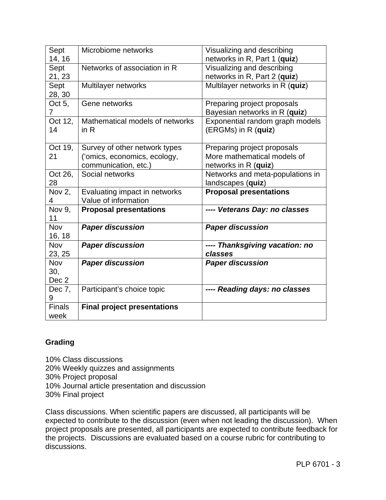| Sept          | Microbiome networks                | Visualizing and describing       |
|---------------|------------------------------------|----------------------------------|
| 14, 16        |                                    | networks in R, Part 1 (quiz)     |
| Sept          | Networks of association in R       | Visualizing and describing       |
| 21, 23        |                                    | networks in R, Part 2 (quiz)     |
| Sept          | Multilayer networks                | Multilayer networks in R (quiz)  |
| 28, 30        |                                    |                                  |
| Oct 5,        | Gene networks                      | Preparing project proposals      |
| 7             |                                    | Bayesian networks in R (quiz)    |
| Oct 12,       | Mathematical models of networks    | Exponential random graph models  |
| 14            | in $R$                             | (ERGMs) in R (quiz)              |
|               |                                    |                                  |
| Oct 19,       | Survey of other network types      | Preparing project proposals      |
| 21            | ('omics, economics, ecology,       | More mathematical models of      |
|               | communication, etc.)               | networks in R (quiz)             |
| Oct 26,       | Social networks                    | Networks and meta-populations in |
| 28            |                                    | landscapes (quiz)                |
| Nov 2,        | Evaluating impact in networks      | <b>Proposal presentations</b>    |
| 4             | Value of information               |                                  |
| Nov 9.        | <b>Proposal presentations</b>      | ---- Veterans Day: no classes    |
| 11            |                                    |                                  |
| Nov           | <b>Paper discussion</b>            | <b>Paper discussion</b>          |
| 16, 18        |                                    |                                  |
| Nov           | <b>Paper discussion</b>            | ---- Thanksgiving vacation: no   |
| 23, 25        |                                    | classes                          |
| Nov           | <b>Paper discussion</b>            | <b>Paper discussion</b>          |
| 30,           |                                    |                                  |
| Dec 2         |                                    |                                  |
| Dec 7,        | Participant's choice topic         | ---- Reading days: no classes    |
| 9             |                                    |                                  |
| <b>Finals</b> | <b>Final project presentations</b> |                                  |
| week          |                                    |                                  |

#### **Grading**

10% Class discussions 20% Weekly quizzes and assignments 30% Project proposal 10% Journal article presentation and discussion 30% Final project

Class discussions. When scientific papers are discussed, all participants will be expected to contribute to the discussion (even when not leading the discussion). When project proposals are presented, all participants are expected to contribute feedback for the projects. Discussions are evaluated based on a course rubric for contributing to discussions.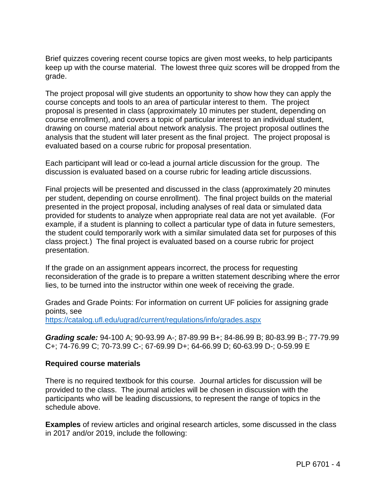Brief quizzes covering recent course topics are given most weeks, to help participants keep up with the course material. The lowest three quiz scores will be dropped from the grade.

The project proposal will give students an opportunity to show how they can apply the course concepts and tools to an area of particular interest to them. The project proposal is presented in class (approximately 10 minutes per student, depending on course enrollment), and covers a topic of particular interest to an individual student, drawing on course material about network analysis. The project proposal outlines the analysis that the student will later present as the final project. The project proposal is evaluated based on a course rubric for proposal presentation.

Each participant will lead or co-lead a journal article discussion for the group. The discussion is evaluated based on a course rubric for leading article discussions.

Final projects will be presented and discussed in the class (approximately 20 minutes per student, depending on course enrollment). The final project builds on the material presented in the project proposal, including analyses of real data or simulated data provided for students to analyze when appropriate real data are not yet available. (For example, if a student is planning to collect a particular type of data in future semesters, the student could temporarily work with a similar simulated data set for purposes of this class project.) The final project is evaluated based on a course rubric for project presentation.

If the grade on an assignment appears incorrect, the process for requesting reconsideration of the grade is to prepare a written statement describing where the error lies, to be turned into the instructor within one week of receiving the grade.

Grades and Grade Points: For information on current UF policies for assigning grade points, see <https://catalog.ufl.edu/ugrad/current/regulations/info/grades.aspx>

*Grading scale:* 94-100 A; 90-93.99 A-; 87-89.99 B+; 84-86.99 B; 80-83.99 B-; 77-79.99 C+; 74-76.99 C; 70-73.99 C-; 67-69.99 D+; 64-66.99 D; 60-63.99 D-; 0-59.99 E

#### **Required course materials**

There is no required textbook for this course. Journal articles for discussion will be provided to the class. The journal articles will be chosen in discussion with the participants who will be leading discussions, to represent the range of topics in the schedule above.

**Examples** of review articles and original research articles, some discussed in the class in 2017 and/or 2019, include the following: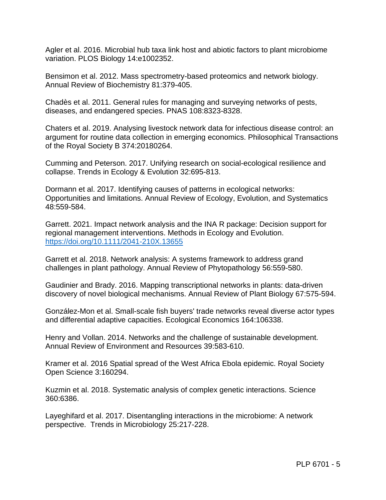Agler et al. 2016. Microbial hub taxa link host and abiotic factors to plant microbiome variation. PLOS Biology 14:e1002352.

Bensimon et al. 2012. Mass spectrometry-based proteomics and network biology. Annual Review of Biochemistry 81:379-405.

Chadès et al. 2011. General rules for managing and surveying networks of pests, diseases, and endangered species. PNAS 108:8323-8328.

Chaters et al. 2019. Analysing livestock network data for infectious disease control: an argument for routine data collection in emerging economics. Philosophical Transactions of the Royal Society B 374:20180264.

Cumming and Peterson. 2017. Unifying research on social-ecological resilience and collapse. Trends in Ecology & Evolution 32:695-813.

Dormann et al. 2017. Identifying causes of patterns in ecological networks: Opportunities and limitations. Annual Review of Ecology, Evolution, and Systematics 48:559-584.

Garrett. 2021. Impact network analysis and the INA R package: Decision support for regional management interventions. Methods in Ecology and Evolution. <https://doi.org/10.1111/2041-210X.13655>

Garrett et al. 2018. Network analysis: A systems framework to address grand challenges in plant pathology. Annual Review of Phytopathology 56:559-580.

Gaudinier and Brady. 2016. Mapping transcriptional networks in plants: data-driven discovery of novel biological mechanisms. Annual Review of Plant Biology 67:575-594.

González-Mon et al. Small-scale fish buyers' trade networks reveal diverse actor types and differential adaptive capacities. Ecological Economics 164:106338.

Henry and Vollan. 2014. Networks and the challenge of sustainable development. Annual Review of Environment and Resources 39:583-610.

Kramer et al. 2016 Spatial spread of the West Africa Ebola epidemic. Royal Society Open Science 3:160294.

Kuzmin et al. 2018. Systematic analysis of complex genetic interactions. Science 360:6386.

Layeghifard et al. 2017. Disentangling interactions in the microbiome: A network perspective. Trends in Microbiology 25:217-228.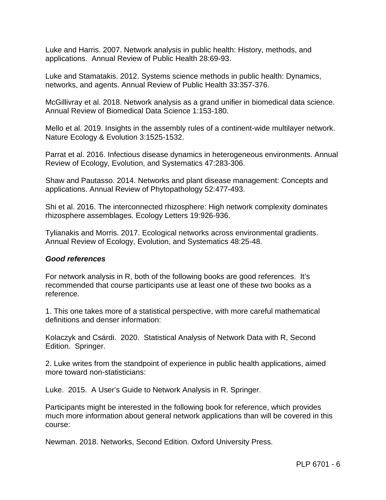Luke and Harris. 2007. Network analysis in public health: History, methods, and applications. Annual Review of Public Health 28:69-93.

Luke and Stamatakis. 2012. Systems science methods in public health: Dynamics, networks, and agents. Annual Review of Public Health 33:357-376.

McGillivray et al. 2018. Network analysis as a grand unifier in biomedical data science. Annual Review of Biomedical Data Science 1:153-180.

Mello et al. 2019. Insights in the assembly rules of a continent-wide multilayer network. Nature Ecology & Evolution 3:1525-1532.

Parrat et al. 2016. Infectious disease dynamics in heterogeneous environments. Annual Review of Ecology, Evolution, and Systematics 47:283-306.

Shaw and Pautasso. 2014. Networks and plant disease management: Concepts and applications. Annual Review of Phytopathology 52:477-493.

Shi et al. 2016. The interconnected rhizosphere: High network complexity dominates rhizosphere assemblages. Ecology Letters 19:926-936.

Tylianakis and Morris. 2017. Ecological networks across environmental gradients. Annual Review of Ecology, Evolution, and Systematics 48:25-48.

#### *Good references*

For network analysis in R, both of the following books are good references. It's recommended that course participants use at least one of these two books as a reference.

1. This one takes more of a statistical perspective, with more careful mathematical definitions and denser information:

Kolaczyk and Csárdi. 2020. Statistical Analysis of Network Data with R, Second Edition. Springer.

2. Luke writes from the standpoint of experience in public health applications, aimed more toward non-statisticians:

Luke. 2015. A User's Guide to Network Analysis in R. Springer.

Participants might be interested in the following book for reference, which provides much more information about general network applications than will be covered in this course:

Newman. 2018. Networks, Second Edition. Oxford University Press.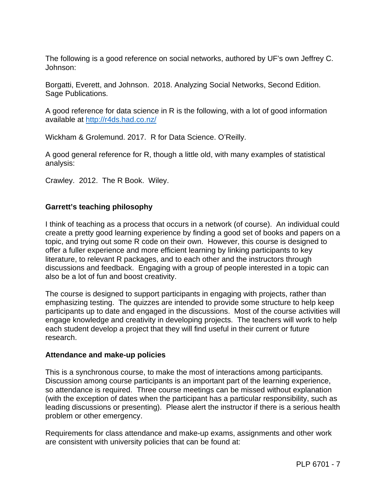The following is a good reference on social networks, authored by UF's own Jeffrey C. Johnson:

Borgatti, Everett, and Johnson. 2018. Analyzing Social Networks, Second Edition. Sage Publications.

A good reference for data science in R is the following, with a lot of good information available at<http://r4ds.had.co.nz/>

Wickham & Grolemund. 2017. R for Data Science. O'Reilly.

A good general reference for R, though a little old, with many examples of statistical analysis:

Crawley. 2012. The R Book. Wiley.

#### **Garrett's teaching philosophy**

I think of teaching as a process that occurs in a network (of course). An individual could create a pretty good learning experience by finding a good set of books and papers on a topic, and trying out some R code on their own. However, this course is designed to offer a fuller experience and more efficient learning by linking participants to key literature, to relevant R packages, and to each other and the instructors through discussions and feedback. Engaging with a group of people interested in a topic can also be a lot of fun and boost creativity.

The course is designed to support participants in engaging with projects, rather than emphasizing testing. The quizzes are intended to provide some structure to help keep participants up to date and engaged in the discussions. Most of the course activities will engage knowledge and creativity in developing projects. The teachers will work to help each student develop a project that they will find useful in their current or future research.

#### **Attendance and make-up policies**

This is a synchronous course, to make the most of interactions among participants. Discussion among course participants is an important part of the learning experience, so attendance is required. Three course meetings can be missed without explanation (with the exception of dates when the participant has a particular responsibility, such as leading discussions or presenting). Please alert the instructor if there is a serious health problem or other emergency.

Requirements for class attendance and make-up exams, assignments and other work are consistent with university policies that can be found at: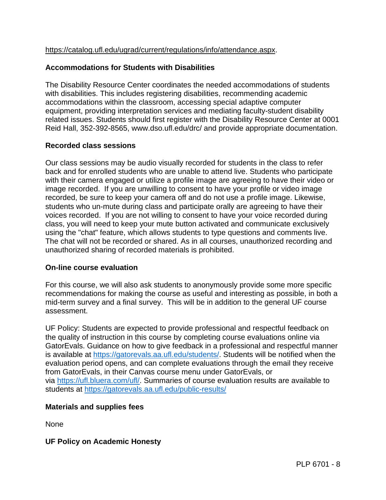#### [https://catalog.ufl.edu/ugrad/current/regulations/info/attendance.aspx.](https://catalog.ufl.edu/ugrad/current/regulations/info/attendance.aspx)

#### **Accommodations for Students with Disabilities**

The Disability Resource Center coordinates the needed accommodations of students with disabilities. This includes registering disabilities, recommending academic accommodations within the classroom, accessing special adaptive computer equipment, providing interpretation services and mediating faculty-student disability related issues. Students should first register with the Disability Resource Center at 0001 Reid Hall, 352-392-8565, www.dso.ufl.edu/drc/ and provide appropriate documentation.

#### **Recorded class sessions**

Our class sessions may be audio visually recorded for students in the class to refer back and for enrolled students who are unable to attend live. Students who participate with their camera engaged or utilize a profile image are agreeing to have their video or image recorded. If you are unwilling to consent to have your profile or video image recorded, be sure to keep your camera off and do not use a profile image. Likewise, students who un-mute during class and participate orally are agreeing to have their voices recorded. If you are not willing to consent to have your voice recorded during class, you will need to keep your mute button activated and communicate exclusively using the "chat" feature, which allows students to type questions and comments live. The chat will not be recorded or shared. As in all courses, unauthorized recording and unauthorized sharing of recorded materials is prohibited.

#### **On-line course evaluation**

For this course, we will also ask students to anonymously provide some more specific recommendations for making the course as useful and interesting as possible, in both a mid-term survey and a final survey. This will be in addition to the general UF course assessment.

UF Policy: Students are expected to provide professional and respectful feedback on the quality of instruction in this course by completing course evaluations online via GatorEvals. Guidance on how to give feedback in a professional and respectful manner is available at [https://gatorevals.aa.ufl.edu/students/.](https://gatorevals.aa.ufl.edu/students/) Students will be notified when the evaluation period opens, and can complete evaluations through the email they receive from GatorEvals, in their Canvas course menu under GatorEvals, or via [https://ufl.bluera.com/ufl/.](https://ufl.bluera.com/ufl/) Summaries of course evaluation results are available to students at <https://gatorevals.aa.ufl.edu/public-results/>

#### **Materials and supplies fees**

None

**UF Policy on Academic Honesty**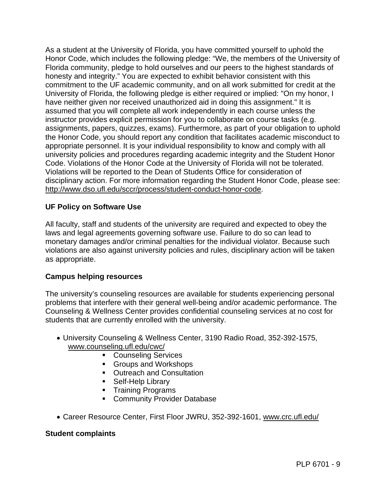As a student at the University of Florida, you have committed yourself to uphold the Honor Code, which includes the following pledge: "We, the members of the University of Florida community, pledge to hold ourselves and our peers to the highest standards of honesty and integrity." You are expected to exhibit behavior consistent with this commitment to the UF academic community, and on all work submitted for credit at the University of Florida, the following pledge is either required or implied: "On my honor, I have neither given nor received unauthorized aid in doing this assignment." It is assumed that you will complete all work independently in each course unless the instructor provides explicit permission for you to collaborate on course tasks (e.g. assignments, papers, quizzes, exams). Furthermore, as part of your obligation to uphold the Honor Code, you should report any condition that facilitates academic misconduct to appropriate personnel. It is your individual responsibility to know and comply with all university policies and procedures regarding academic integrity and the Student Honor Code. Violations of the Honor Code at the University of Florida will not be tolerated. Violations will be reported to the Dean of Students Office for consideration of disciplinary action. For more information regarding the Student Honor Code, please see: [http://www.dso.ufl.edu/sccr/process/student-conduct-honor-code.](http://www.dso.ufl.edu/sccr/process/student-conduct-honor-code)

#### **UF Policy on Software Use**

All faculty, staff and students of the university are required and expected to obey the laws and legal agreements governing software use. Failure to do so can lead to monetary damages and/or criminal penalties for the individual violator. Because such violations are also against university policies and rules, disciplinary action will be taken as appropriate.

#### **Campus helping resources**

The university's counseling resources are available for students experiencing personal problems that interfere with their general well-being and/or academic performance. The Counseling & Wellness Center provides confidential counseling services at no cost for students that are currently enrolled with the university.

- University Counseling & Wellness Center, 3190 Radio Road, 352-392-1575, [www.counseling.ufl.edu/cwc/](http://www.counseling.ufl.edu/cwc/)
	- **Counseling Services**
	- Groups and Workshops
	- **Outreach and Consultation**
	- **Self-Help Library**
	- **Training Programs**
	- **Community Provider Database**
- Career Resource Center, First Floor JWRU, 352-392-1601, [www.crc.ufl.edu/](http://www.crc.ufl.edu/)

#### **Student complaints**